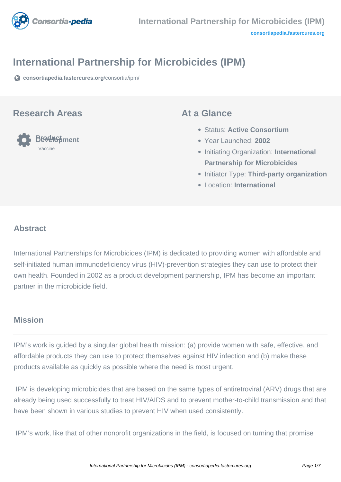

# **International Partnership for Microbicides (IPM)**

**[consortiapedia.fastercures.org](https://consortiapedia.fastercures.org/consortia/ipm/)**[/consortia/ipm/](https://consortiapedia.fastercures.org/consortia/ipm/)

#### **Research Areas**



#### **At a Glance**

- Status: **Active Consortium**
- Year Launched: **2002**
- **Initiating Organization: International Partnership for Microbicides**
- **Initiator Type: Third-party organization**
- Location: **International**

#### $\overline{a}$ **Abstract**

International Partnerships for Microbicides (IPM) is dedicated to providing women with affordable and self-initiated human immunodeficiency virus (HIV)-prevention strategies they can use to protect their own health. Founded in 2002 as a product development partnership, IPM has become an important partner in the microbicide field.

## **Mission**

IPM's work is guided by a singular global health mission: (a) provide women with safe, effective, and affordable products they can use to protect themselves against HIV infection and (b) make these products available as quickly as possible where the need is most urgent.

 IPM is developing microbicides that are based on the same types of antiretroviral (ARV) drugs that are already being used successfully to treat HIV/AIDS and to prevent mother-to-child transmission and that have been shown in various studies to prevent HIV when used consistently.

IPM's work, like that of other nonprofit organizations in the field, is focused on turning that promise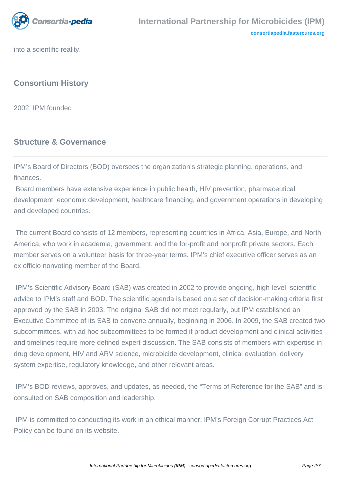

into a scientific reality.

# **Consortium History**

2002: IPM founded

## **Structure & Governance**

IPM's Board of Directors (BOD) oversees the organization's strategic planning, operations, and finances.

 Board members have extensive experience in public health, HIV prevention, pharmaceutical development, economic development, healthcare financing, and government operations in developing and developed countries.

 The current Board consists of 12 members, representing countries in Africa, Asia, Europe, and North America, who work in academia, government, and the for-profit and nonprofit private sectors. Each member serves on a volunteer basis for three-year terms. IPM's chief executive officer serves as an ex officio nonvoting member of the Board.

 IPM's Scientific Advisory Board (SAB) was created in 2002 to provide ongoing, high-level, scientific advice to IPM's staff and BOD. The scientific agenda is based on a set of decision-making criteria first approved by the SAB in 2003. The original SAB did not meet regularly, but IPM established an Executive Committee of its SAB to convene annually, beginning in 2006. In 2009, the SAB created two subcommittees, with ad hoc subcommittees to be formed if product development and clinical activities and timelines require more defined expert discussion. The SAB consists of members with expertise in drug development, HIV and ARV science, microbicide development, clinical evaluation, delivery system expertise, regulatory knowledge, and other relevant areas.

 IPM's BOD reviews, approves, and updates, as needed, the "Terms of Reference for the SAB" and is consulted on SAB composition and leadership.

 IPM is committed to conducting its work in an ethical manner. IPM's Foreign Corrupt Practices Act Policy can be found on its website.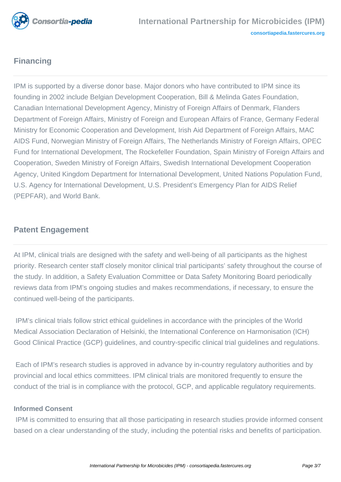

# **Financing**

IPM is supported by a diverse donor base. Major donors who have contributed to IPM since its founding in 2002 include Belgian Development Cooperation, Bill & Melinda Gates Foundation, Canadian International Development Agency, Ministry of Foreign Affairs of Denmark, Flanders Department of Foreign Affairs, Ministry of Foreign and European Affairs of France, Germany Federal Ministry for Economic Cooperation and Development, Irish Aid Department of Foreign Affairs, MAC AIDS Fund, Norwegian Ministry of Foreign Affairs, The Netherlands Ministry of Foreign Affairs, OPEC Fund for International Development, The Rockefeller Foundation, Spain Ministry of Foreign Affairs and Cooperation, Sweden Ministry of Foreign Affairs, Swedish International Development Cooperation Agency, United Kingdom Department for International Development, United Nations Population Fund, U.S. Agency for International Development, U.S. President's Emergency Plan for AIDS Relief (PEPFAR), and World Bank.

## **Patent Engagement**

At IPM, clinical trials are designed with the safety and well-being of all participants as the highest priority. Research center staff closely monitor clinical trial participants' safety throughout the course of the study. In addition, a Safety Evaluation Committee or Data Safety Monitoring Board periodically reviews data from IPM's ongoing studies and makes recommendations, if necessary, to ensure the continued well-being of the participants.

 IPM's clinical trials follow strict ethical guidelines in accordance with the principles of the World Medical Association Declaration of Helsinki, the International Conference on Harmonisation (ICH) Good Clinical Practice (GCP) guidelines, and country-specific clinical trial guidelines and regulations.

 Each of IPM's research studies is approved in advance by in-country regulatory authorities and by provincial and local ethics committees. IPM clinical trials are monitored frequently to ensure the conduct of the trial is in compliance with the protocol, GCP, and applicable regulatory requirements.

#### **Informed Consent**

 IPM is committed to ensuring that all those participating in research studies provide informed consent based on a clear understanding of the study, including the potential risks and benefits of participation.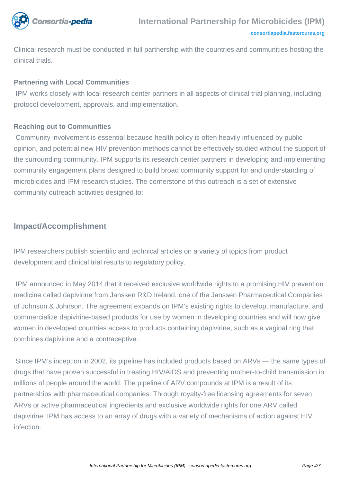

**[consortiapedia.fastercures.org](http://consortiapedia.fastercures.org/)**

Clinical research must be conducted in full partnership with the countries and communities hosting the clinical trials.

#### **Partnering with Local Communities**

 IPM works closely with local research center partners in all aspects of clinical trial planning, including protocol development, approvals, and implementation.

#### **Reaching out to Communities**

 Community involvement is essential because health policy is often heavily influenced by public opinion, and potential new HIV prevention methods cannot be effectively studied without the support of the surrounding community. IPM supports its research center partners in developing and implementing community engagement plans designed to build broad community support for and understanding of microbicides and IPM research studies. The cornerstone of this outreach is a set of extensive community outreach activities designed to:

### **Impact/Accomplishment**

IPM researchers publish scientific and technical articles on a variety of topics from product development and clinical trial results to regulatory policy.

 IPM announced in May 2014 that it received exclusive worldwide rights to a promising HIV prevention medicine called dapivirine from Janssen R&D Ireland, one of the Janssen Pharmaceutical Companies of Johnson & Johnson. The agreement expands on IPM's existing rights to develop, manufacture, and commercialize dapivirine-based products for use by women in developing countries and will now give women in developed countries access to products containing dapivirine, such as a vaginal ring that combines dapivirine and a contraceptive.

 Since IPM's inception in 2002, its pipeline has included products based on ARVs — the same types of drugs that have proven successful in treating HIV/AIDS and preventing mother-to-child transmission in millions of people around the world. The pipeline of ARV compounds at IPM is a result of its partnerships with pharmaceutical companies. Through royalty-free licensing agreements for seven ARVs or active pharmaceutical ingredients and exclusive worldwide rights for one ARV called dapivirine, IPM has access to an array of drugs with a variety of mechanisms of action against HIV infection.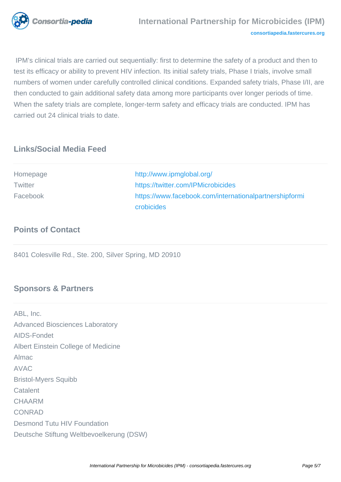

 IPM's clinical trials are carried out sequentially: first to determine the safety of a product and then to test its efficacy or ability to prevent HIV infection. Its initial safety trials, Phase I trials, involve small numbers of women under carefully controlled clinical conditions. Expanded safety trials, Phase I/II, are then conducted to gain additional safety data among more participants over longer periods of time. When the safety trials are complete, longer-term safety and efficacy trials are conducted. IPM has carried out 24 clinical trials to date.

## **Links/Social Media Feed**

| Homepage | http://www.ipmglobal.org/                              |
|----------|--------------------------------------------------------|
| Twitter  | https://twitter.com/IPMicrobicides                     |
| Facebook | https://www.facebook.com/internationalpartnershipformi |
|          | crobicides                                             |

### **Points of Contact**

8401 Colesville Rd., Ste. 200, Silver Spring, MD 20910

## **Sponsors & Partners**

ABL, Inc. Advanced Biosciences Laboratory AIDS-Fondet Albert Einstein College of Medicine Almac AVAC Bristol-Myers Squibb **Catalent** CHAARM CONRAD Desmond Tutu HIV Foundation Deutsche Stiftung Weltbevoelkerung (DSW)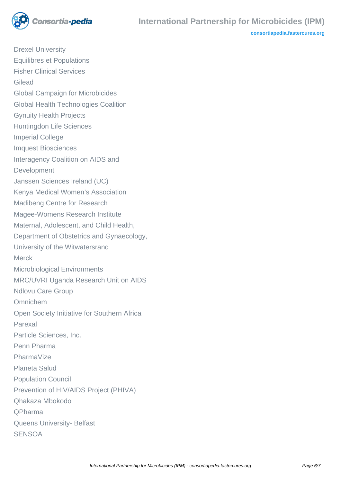

**[consortiapedia.fastercures.org](http://consortiapedia.fastercures.org/)**

Drexel University Equilibres et Populations Fisher Clinical Services Gilead Global Campaign for Microbicides Global Health Technologies Coalition Gynuity Health Projects Huntingdon Life Sciences Imperial College Imquest Biosciences Interagency Coalition on AIDS and Development Janssen Sciences Ireland (UC) Kenya Medical Women's Association Madibeng Centre for Research Magee-Womens Research Institute Maternal, Adolescent, and Child Health, Department of Obstetrics and Gynaecology, University of the Witwatersrand Merck Microbiological Environments MRC/UVRI Uganda Research Unit on AIDS Ndlovu Care Group Omnichem Open Society Initiative for Southern Africa Parexal Particle Sciences, Inc. Penn Pharma PharmaVize Planeta Salud Population Council Prevention of HIV/AIDS Project (PHIVA) Qhakaza Mbokodo QPharma Queens University- Belfast **SENSOA**